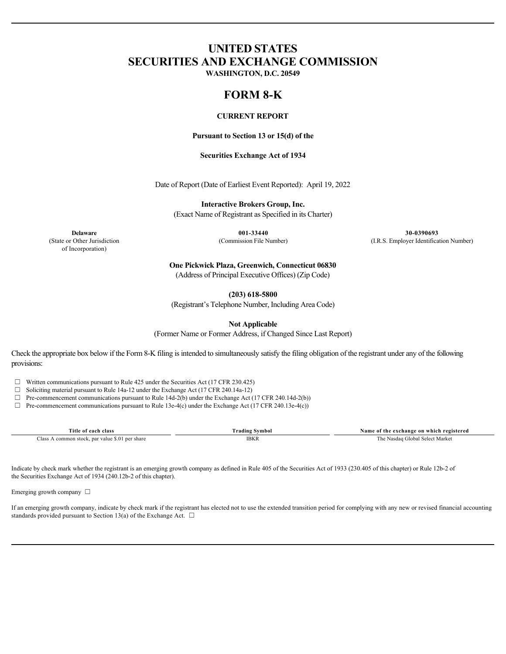# **UNITED STATES SECURITIES AND EXCHANGE COMMISSION**

**WASHINGTON, D.C. 20549**

## **FORM 8-K**

## **CURRENT REPORT**

#### **Pursuant to Section 13 or 15(d) of the**

#### **Securities Exchange Act of 1934**

Date of Report (Date of Earliest Event Reported): April 19, 2022

**Interactive Brokers Group, Inc.**

(Exact Name of Registrant as Specified in its Charter)

(State or Other Jurisdiction of Incorporation)

**Delaware 001-33440 30-0390693** (Commission File Number) (I.R.S. Employer Identification Number)

> **One Pickwick Plaza, Greenwich, Connecticut 06830** (Address of Principal Executive Offices) (Zip Code)

> > **(203) 618-5800**

(Registrant's Telephone Number, Including Area Code)

**Not Applicable**

(Former Name or Former Address, if Changed Since Last Report)

Check the appropriate box below if the Form 8-K filing is intended to simultaneously satisfy the filing obligation of the registrant under any of the following provisions:

 $\Box$  Written communications pursuant to Rule 425 under the Securities Act (17 CFR 230.425)

☐ Soliciting material pursuant to Rule 14a-12 under the Exchange Act (17 CFR 240.14a-12)

 $\Box$  Pre-commencement communications pursuant to Rule 14d-2(b) under the Exchange Act (17 CFR 240.14d-2(b))

 $\Box$  Pre-commencement communications pursuant to Rule 13e-4(c) under the Exchange Act (17 CFR 240.13e-4(c))

| l'itle<br>. class<br>each<br>-01                                | rading Symbol) | e exchange on which<br>`registereo<br>Name<br>of the |
|-----------------------------------------------------------------|----------------|------------------------------------------------------|
| $\cap$ lass<br>. S.01 per share<br>. par value<br>common stock. | <b>IBKR</b>    | . Marke<br>Gilobal<br>-Selec<br>Nasdac<br>l he       |

Indicate by check mark whether the registrant is an emerging growth company as defined in Rule 405 of the Securities Act of 1933 (230.405 of this chapter) or Rule 12b-2 of the Securities Exchange Act of 1934 (240.12b-2 of this chapter).

Emerging growth company ☐

If an emerging growth company, indicate by check mark if the registrant has elected not to use the extended transition period for complying with any new or revised financial accounting standards provided pursuant to Section 13(a) of the Exchange Act.  $\Box$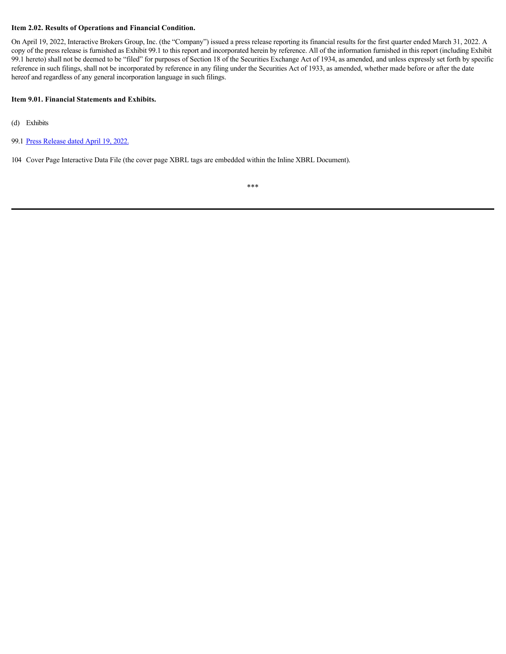#### **Item 2.02. Results of Operations and Financial Condition.**

On April 19, 2022, Interactive Brokers Group, Inc. (the "Company") issued a press release reporting its financial results for the first quarter ended March 31, 2022. A copy of the press release is furnished as Exhibit 99.1 to this report and incorporated herein by reference. All of the information furnished in this report (including Exhibit 99.1 hereto) shall not be deemed to be "filed" for purposes of Section 18 of the Securities Exchange Act of 1934, as amended, and unless expressly set forth by specific reference in such filings, shall not be incorporated by reference in any filing under the Securities Act of 1933, as amended, whether made before or after the date hereof and regardless of any general incorporation language in such filings.

#### **Item 9.01. Financial Statements and Exhibits.**

- (d) Exhibits
- 99.1 [Press Release dated April 19, 2022.](file:///C:/Users/rbussiere/AppData/Local/Temp/PROfile/lrrq231t.ycw/expand/content/ibkr-8k_20220331er.htm)

104 Cover Page Interactive Data File (the cover page XBRL tags are embedded within the Inline XBRL Document).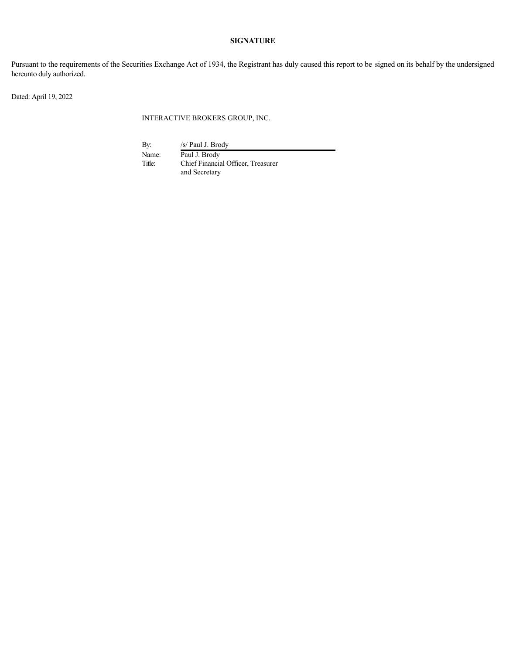## **SIGNATURE**

Pursuant to the requirements of the Securities Exchange Act of 1934, the Registrant has duly caused this report to be signed on its behalf by the undersigned hereunto duly authorized.

Dated: April 19, 2022

## INTERACTIVE BROKERS GROUP, INC.

By: /s/ Paul J. Brody Name: Paul J. Brody<br>Title: Chief Financia Chief Financial Officer, Treasurer and Secretary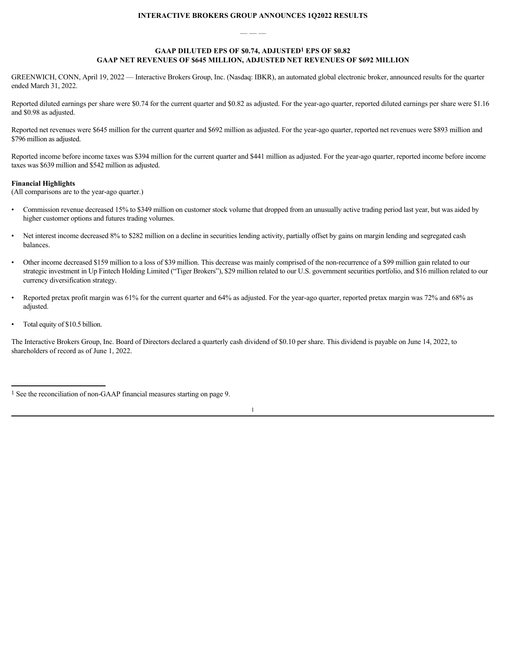#### **INTERACTIVE BROKERS GROUP ANNOUNCES 1Q2022 RESULTS**

— — —

### **GAAP DILUTED EPS OF \$0.74, ADJUSTED1 EPS OF \$0.82 GAAP NET REVENUES OF \$645 MILLION, ADJUSTED NET REVENUES OF \$692 MILLION**

GREENWICH, CONN, April 19, 2022 — Interactive Brokers Group, Inc. (Nasdaq: IBKR), an automated global electronic broker, announced results for the quarter ended March 31, 2022.

Reported diluted earnings per share were \$0.74 for the current quarter and \$0.82 as adjusted. For the year-ago quarter, reported diluted earnings per share were \$1.16 and \$0.98 as adjusted.

Reported net revenues were \$645 million for the current quarter and \$692 million as adjusted. For the year-ago quarter, reported net revenues were \$893 million and \$796 million as adjusted.

Reported income before income taxes was \$394 million for the current quarter and \$441 million as adjusted. For the year-ago quarter, reported income before income taxes was \$639 million and \$542 million as adjusted.

### **Financial Highlights**

(All comparisons are to the year-ago quarter.)

- Commission revenue decreased 15% to \$349 million on customer stock volume that dropped from an unusually active trading period last year, but was aided by higher customer options and futures trading volumes.
- Net interest income decreased 8% to \$282 million on a decline in securities lending activity, partially offset by gains on margin lending and segregated cash balances.
- Other income decreased \$159 million to a loss of \$39 million. This decrease was mainly comprised of the non-recurrence of a \$99 million gain related to our strategic investment in Up Fintech Holding Limited ("Tiger Brokers"), \$29 million related to our U.S. government securities portfolio, and \$16 million related to our currency diversification strategy.
- Reported pretax profit margin was 61% for the current quarter and 64% as adjusted. For the year-ago quarter, reported pretax margin was 72% and 68% as adjusted.
- Total equity of \$10.5 billion.

The Interactive Brokers Group, Inc. Board of Directors declared a quarterly cash dividend of \$0.10 per share. This dividend is payable on June 14, 2022, to shareholders of record as of June 1, 2022.

<sup>1</sup> See the reconciliation of non-GAAP financial measures starting on page 9.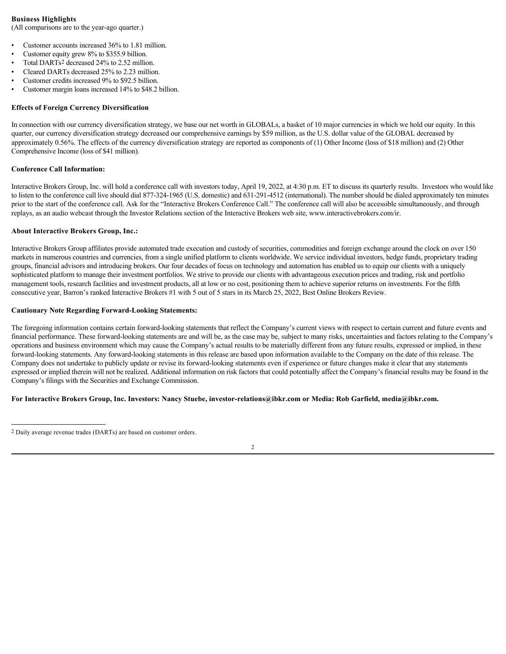#### **Business Highlights**

(All comparisons are to the year-ago quarter.)

- Customer accounts increased 36% to 1.81 million.
- Customer equity grew 8% to \$355.9 billion.
- Total DARTs2 decreased 24% to 2.52 million.
- Cleared DARTs decreased 25% to 2.23 million.
- Customer credits increased 9% to \$92.5 billion.
- Customer margin loans increased 14% to \$48.2 billion.

## **Effects of Foreign Currency Diversification**

In connection with our currency diversification strategy, we base our net worth in GLOBALs, a basket of 10 major currencies in which we hold our equity. In this quarter, our currency diversification strategy decreased our comprehensive earnings by \$59 million, as the U.S. dollar value of the GLOBAL decreased by approximately 0.56%. The effects of the currency diversification strategy are reported as components of (1) Other Income (loss of \$18 million) and (2) Other Comprehensive Income (loss of \$41 million).

## **Conference Call Information:**

Interactive Brokers Group, Inc. will hold a conference call with investors today, April 19, 2022, at 4:30 p.m. ET to discuss its quarterly results. Investors who would like to listen to the conference call live should dial 877-324-1965 (U.S. domestic) and 631-291-4512 (international). The number should be dialed approximately ten minutes prior to the start of the conference call. Ask for the "Interactive Brokers Conference Call." The conference call will also be accessible simultaneously, and through replays, as an audio webcast through the Investor Relations section of the Interactive Brokers web site, www.interactivebrokers.com/ir.

## **About Interactive Brokers Group, Inc.:**

Interactive Brokers Group affiliates provide automated trade execution and custody of securities, commodities and foreign exchange around the clock on over 150 markets in numerous countries and currencies, from a single unified platform to clients worldwide. We service individual investors, hedge funds, proprietary trading groups, financial advisors and introducing brokers. Our four decades of focus on technology and automation has enabled us to equip our clients with a uniquely sophisticated platform to manage their investment portfolios. We strive to provide our clients with advantageous execution prices and trading, risk and portfolio management tools, research facilities and investment products, all at low or no cost, positioning them to achieve superior returns on investments. For the fifth consecutive year, Barron's ranked Interactive Brokers #1 with 5 out of 5 stars in its March 25, 2022, Best Online Brokers Review.

## **Cautionary Note Regarding Forward-Looking Statements:**

The foregoing information contains certain forward-looking statements that reflect the Company's current views with respect to certain current and future events and financial performance. These forward-looking statements are and will be, as the case may be, subject to many risks, uncertainties and factors relating to the Company's operations and business environment which may cause the Company's actual results to be materially different from any future results, expressed or implied, in these forward-looking statements. Any forward-looking statements in this release are based upon information available to the Company on the date of this release. The Company does not undertake to publicly update or revise its forward-looking statements even if experience or future changes make it clear that any statements expressed or implied therein will not be realized. Additional information on risk factors that could potentially affect the Company's financial results may be found in the Company's filings with the Securities and Exchange Commission.

**For Interactive Brokers Group, Inc. Investors: Nancy Stuebe, investor-relations@ibkr.com or Media: Rob Garfield, media@ibkr.com.**



<sup>2</sup> Daily average revenue trades (DARTs) are based on customer orders.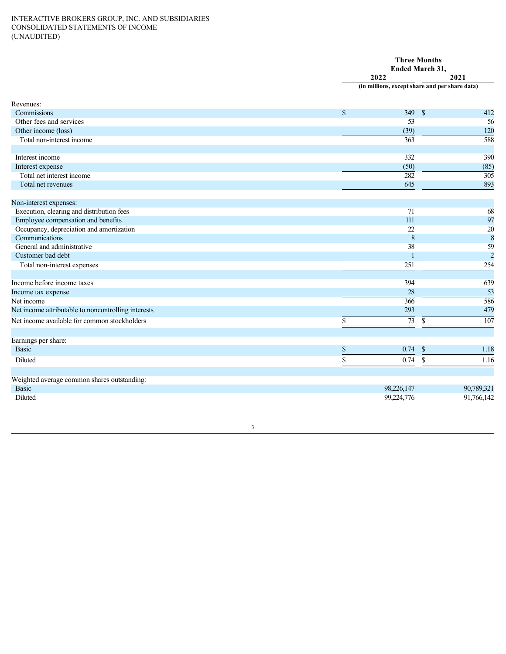## INTERACTIVE BROKERS GROUP, INC. AND SUBSIDIARIES CONSOLIDATED STATEMENTS OF INCOME (UNAUDITED)

|                                                     | <b>Three Months</b><br>Ended March 31,         |                         |  |
|-----------------------------------------------------|------------------------------------------------|-------------------------|--|
|                                                     | 2022                                           | 2021                    |  |
|                                                     | (in millions, except share and per share data) |                         |  |
| Revenues:                                           |                                                |                         |  |
| Commissions                                         | \$<br>349<br><b>S</b>                          | 412                     |  |
| Other fees and services                             | 53                                             | 56                      |  |
| Other income (loss)                                 | (39)                                           | 120                     |  |
| Total non-interest income                           | 363                                            | 588                     |  |
| Interest income                                     | 332                                            | 390                     |  |
| Interest expense                                    | (50)                                           | (85)                    |  |
| Total net interest income                           | 282                                            | $\overline{305}$        |  |
| Total net revenues                                  | 645                                            | 893                     |  |
| Non-interest expenses:                              |                                                |                         |  |
| Execution, clearing and distribution fees           | 71                                             | 68                      |  |
| Employee compensation and benefits                  | 111                                            | 97                      |  |
| Occupancy, depreciation and amortization            | 22                                             | 20                      |  |
| Communications                                      | $\boldsymbol{8}$                               | $\boldsymbol{8}$        |  |
| General and administrative                          | 38                                             | 59                      |  |
| Customer bad debt                                   |                                                | $\overline{\mathbf{c}}$ |  |
| Total non-interest expenses                         | 251                                            | 254                     |  |
| Income before income taxes                          | 394                                            | 639                     |  |
| Income tax expense                                  | 28                                             | 53                      |  |
| Net income                                          | 366                                            | 586                     |  |
| Net income attributable to noncontrolling interests | 293                                            | 479                     |  |
| Net income available for common stockholders        | \$<br>$\overline{73}$<br>\$                    | 107                     |  |
|                                                     |                                                |                         |  |
| Earnings per share:                                 |                                                |                         |  |
| Basic                                               | \$<br>0.74<br>$\mathcal{S}$                    | 1.18                    |  |
| Diluted                                             | \$<br>0.74<br>\$                               | 1.16                    |  |
| Weighted average common shares outstanding:         |                                                |                         |  |
| <b>Basic</b>                                        | 98,226,147                                     | 90,789,321              |  |
| Diluted                                             | 99,224,776                                     | 91,766,142              |  |
|                                                     |                                                |                         |  |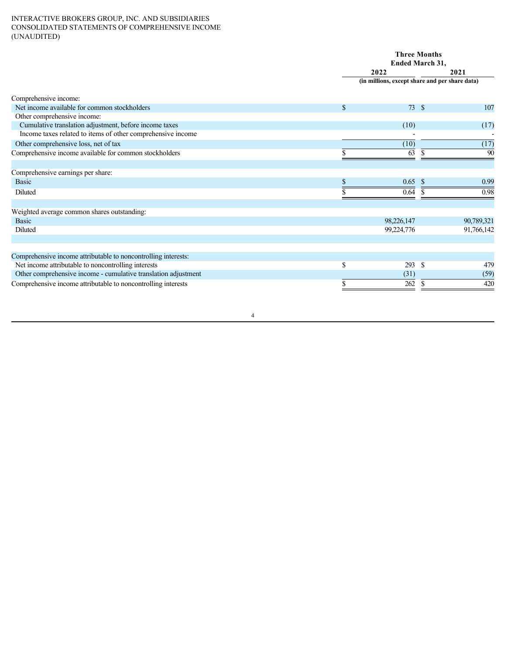## INTERACTIVE BROKERS GROUP, INC. AND SUBSIDIARIES CONSOLIDATED STATEMENTS OF COMPREHENSIVE INCOME (UNAUDITED)

|                                                                | <b>Three Months</b><br>Ended March 31,         |               |            |
|----------------------------------------------------------------|------------------------------------------------|---------------|------------|
|                                                                | 2022<br>2021                                   |               |            |
|                                                                | (in millions, except share and per share data) |               |            |
| Comprehensive income:                                          |                                                |               |            |
| Net income available for common stockholders                   | \$<br>73                                       | - \$          | 107        |
| Other comprehensive income:                                    |                                                |               |            |
| Cumulative translation adjustment, before income taxes         | (10)                                           |               | (17)       |
| Income taxes related to items of other comprehensive income    |                                                |               |            |
| Other comprehensive loss, net of tax                           | (10)                                           |               | (17)       |
| Comprehensive income available for common stockholders         | 63                                             | S             | 90         |
|                                                                |                                                |               |            |
| Comprehensive earnings per share:                              |                                                |               |            |
| Basic                                                          | 0.65                                           | <sup>\$</sup> | 0.99       |
| Diluted                                                        | 0.64                                           | <b>S</b>      | 0.98       |
| Weighted average common shares outstanding:                    |                                                |               |            |
| <b>Basic</b>                                                   | 98,226,147                                     |               | 90,789,321 |
| <b>Diluted</b>                                                 | 99,224,776                                     |               | 91,766,142 |
|                                                                |                                                |               |            |
| Comprehensive income attributable to noncontrolling interests: |                                                |               |            |
| Net income attributable to noncontrolling interests            | \$<br>293                                      | <sup>\$</sup> | 479        |
| Other comprehensive income - cumulative translation adjustment | (31)                                           |               | (59)       |
| Comprehensive income attributable to noncontrolling interests  | 262                                            | -S            | 420        |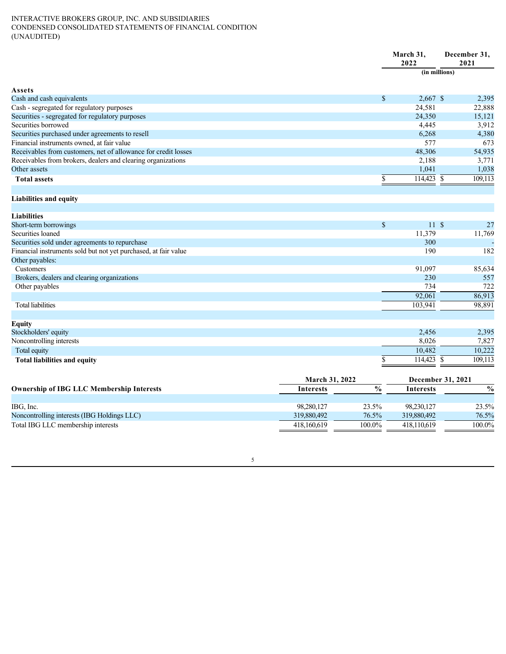## INTERACTIVE BROKERS GROUP, INC. AND SUBSIDIARIES CONDENSED CONSOLIDATED STATEMENTS OF FINANCIAL CONDITION (UNAUDITED)

|                                                                 |                |                      | March 31,<br>2022       | December 31,<br>2021 |  |
|-----------------------------------------------------------------|----------------|----------------------|-------------------------|----------------------|--|
|                                                                 |                |                      | (in millions)           |                      |  |
| Assets                                                          |                |                      |                         |                      |  |
| Cash and cash equivalents                                       |                | \$                   | $2,667$ \$              | 2,395                |  |
| Cash - segregated for regulatory purposes                       |                |                      | 24,581                  | 22,888               |  |
| Securities - segregated for regulatory purposes                 |                |                      | 24,350                  | 15,121               |  |
| Securities borrowed                                             |                |                      | 4,445                   | 3,912                |  |
| Securities purchased under agreements to resell                 |                |                      | 6,268                   | 4,380                |  |
| Financial instruments owned, at fair value                      |                |                      | 577                     | 673                  |  |
| Receivables from customers, net of allowance for credit losses  |                |                      | 48,306                  | 54,935               |  |
| Receivables from brokers, dealers and clearing organizations    |                |                      | 2,188                   | 3,771                |  |
| Other assets                                                    |                |                      | 1.041                   | 1,038                |  |
| <b>Total assets</b>                                             |                | $\sqrt{\frac{1}{2}}$ | $\overline{114,423}$ \$ | 109,113              |  |
| <b>Liabilities and equity</b>                                   |                |                      |                         |                      |  |
|                                                                 |                |                      |                         |                      |  |
| <b>Liabilities</b>                                              |                |                      |                         |                      |  |
| Short-term borrowings                                           |                | $\mathbb S$          | 11S                     | 27                   |  |
| Securities loaned                                               |                |                      | 11,379                  | 11,769               |  |
| Securities sold under agreements to repurchase                  |                |                      | 300                     |                      |  |
| Financial instruments sold but not yet purchased, at fair value |                |                      | 190                     | 182                  |  |
| Other payables:                                                 |                |                      |                         |                      |  |
| Customers                                                       |                |                      | 91,097                  | 85,634               |  |
| Brokers, dealers and clearing organizations                     |                |                      | 230                     | 557                  |  |
| Other payables                                                  |                |                      | 734                     | 722                  |  |
|                                                                 |                |                      | 92,061                  | 86,913               |  |
| <b>Total liabilities</b>                                        |                |                      | 103,941                 | 98,891               |  |
| <b>Equity</b>                                                   |                |                      |                         |                      |  |
| Stockholders' equity                                            |                |                      | 2,456                   | 2,395                |  |
| Noncontrolling interests                                        |                |                      | 8,026                   | 7,827                |  |
| Total equity                                                    |                |                      | 10,482                  | 10,222               |  |
| <b>Total liabilities and equity</b>                             |                | \$                   | 114,423 \$              | 109,113              |  |
|                                                                 | March 21, 2022 |                      |                         | Dooombor 31, 2021    |  |

|                                                  | <b>March 31, 2022</b> |               | December 31, 2021 |                |
|--------------------------------------------------|-----------------------|---------------|-------------------|----------------|
| <b>Ownership of IBG LLC Membership Interests</b> | Interests             | $\frac{6}{9}$ | <b>Interests</b>  | $\frac{6}{10}$ |
|                                                  |                       |               |                   |                |
| IBG. Inc.                                        | 98.280.127            | 23.5%         | 98.230.127        | 23.5%          |
| Noncontrolling interests (IBG Holdings LLC)      | 319,880,492           | 76.5%         | 319,880,492       | 76.5%          |
| Total IBG LLC membership interests               | 418,160,619           | 100.0%        | 418,110,619       | 100.0%         |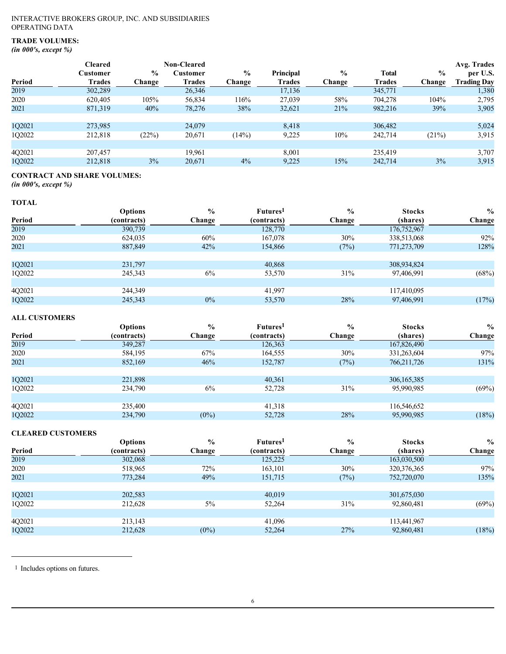## INTERACTIVE BROKERS GROUP, INC. AND SUBSIDIARIES OPERATING DATA

## **TRADE VOLUMES:**

*(in 000's, except %)*

|        | <b>Cleared</b> |               | <b>Non-Cleared</b> |               |               |               |               |               | Avg. Trades        |
|--------|----------------|---------------|--------------------|---------------|---------------|---------------|---------------|---------------|--------------------|
|        | Customer       | $\frac{0}{0}$ | <b>Customer</b>    | $\frac{6}{9}$ | Principal     | $\frac{0}{0}$ | <b>Total</b>  | $\frac{0}{0}$ | per U.S.           |
| Period | Trades         | Change        | <b>Trades</b>      | Change        | <b>Trades</b> | Change        | <b>Trades</b> | Change        | <b>Trading Day</b> |
| 2019   | 302,289        |               | 26,346             |               | 17,136        |               | 345,771       |               | 1,380              |
| 2020   | 620,405        | 105%          | 56,834             | 116%          | 27,039        | 58%           | 704,278       | 104%          | 2,795              |
| 2021   | 871,319        | 40%           | 78,276             | 38%           | 32,621        | 21%           | 982,216       | 39%           | 3,905              |
|        |                |               |                    |               |               |               |               |               |                    |
| 1Q2021 | 273,985        |               | 24,079             |               | 8,418         |               | 306,482       |               | 5,024              |
| 1Q2022 | 212,818        | (22%)         | 20,671             | (14%)         | 9,225         | 10%           | 242,714       | (21%)         | 3,915              |
|        |                |               |                    |               |               |               |               |               |                    |
| 4Q2021 | 207,457        |               | 19.961             |               | 8.001         |               | 235,419       |               | 3,707              |
| 1Q2022 | 212,818        | 3%            | 20,671             | 4%            | 9,225         | 15%           | 242,714       | 3%            | 3,915              |
|        |                |               |                    |               |               |               |               |               |                    |

# **CONTRACT AND SHARE VOLUMES:**

*(in 000's, except %)*

| <b>TOTAL</b> |             |               |                      |               |               |               |
|--------------|-------------|---------------|----------------------|---------------|---------------|---------------|
|              | Options     | $\frac{0}{0}$ | Futures <sup>1</sup> | $\frac{0}{0}$ | <b>Stocks</b> | $\frac{0}{0}$ |
| Period       | (contracts) | Change        | (contracts)          | Change        | (shares)      | Change        |
| 2019         | 390,739     |               | 128,770              |               | 176,752,967   |               |
| 2020         | 624,035     | 60%           | 167,078              | 30%           | 338,513,068   | 92%           |
| 2021         | 887,849     | 42%           | 154,866              | (7%)          | 771,273,709   | 128%          |
|              |             |               |                      |               |               |               |
| 1Q2021       | 231,797     |               | 40,868               |               | 308,934,824   |               |
| 1Q2022       | 245,343     | 6%            | 53,570               | 31%           | 97,406,991    | (68%)         |
|              |             |               |                      |               |               |               |
| 4Q2021       | 244,349     |               | 41,997               |               | 117,410,095   |               |
| 1Q2022       | 245,343     | 0%            | 53,570               | 28%           | 97,406,991    | (17%)         |

## **ALL CUSTOMERS**

|        | Options     | $\frac{0}{0}$ | Futures <sup>1</sup> | $\frac{0}{0}$ | <b>Stocks</b> | $\frac{0}{0}$ |
|--------|-------------|---------------|----------------------|---------------|---------------|---------------|
| Period | (contracts) | Change        | (contracts)          | Change        | (shares)      | Change        |
| 2019   | 349,287     |               | 126,363              |               | 167,826,490   |               |
| 2020   | 584,195     | 67%           | 164,555              | 30%           | 331,263,604   | 97%           |
| 2021   | 852,169     | 46%           | 152,787              | (7%)          | 766, 211, 726 | 131%          |
|        |             |               |                      |               |               |               |
| 1Q2021 | 221,898     |               | 40,361               |               | 306, 165, 385 |               |
| 1Q2022 | 234,790     | 6%            | 52,728               | 31%           | 95,990,985    | (69%)         |
|        |             |               |                      |               |               |               |
| 4Q2021 | 235,400     |               | 41,318               |               | 116,546,652   |               |
| 1Q2022 | 234,790     | $(0\%)$       | 52,728               | 28%           | 95,990,985    | (18%)         |

## **CLEARED CUSTOMERS**

|        | <b>Options</b> | $\frac{0}{0}$ | Futures <sup>1</sup> | $\frac{0}{0}$ | <b>Stocks</b> | $\frac{0}{0}$ |
|--------|----------------|---------------|----------------------|---------------|---------------|---------------|
| Period | (contracts)    | Change        | (contracts)          | Change        | (shares)      | Change        |
| 2019   | 302,068        |               | 125,225              |               | 163,030,500   |               |
| 2020   | 518,965        | 72%           | 163,101              | 30%           | 320, 376, 365 | 97%           |
| 2021   | 773,284        | 49%           | 151,715              | (7%)          | 752,720,070   | 135%          |
|        |                |               |                      |               |               |               |
| 1Q2021 | 202,583        |               | 40.019               |               | 301,675,030   |               |
| 1Q2022 | 212,628        | 5%            | 52,264               | 31%           | 92,860,481    | (69%)         |
|        |                |               |                      |               |               |               |
| 4Q2021 | 213,143        |               | 41,096               |               | 113,441,967   |               |
| 1Q2022 | 212,628        | $(0\%)$       | 52,264               | 27%           | 92,860,481    | (18%)         |

1 Includes options on futures.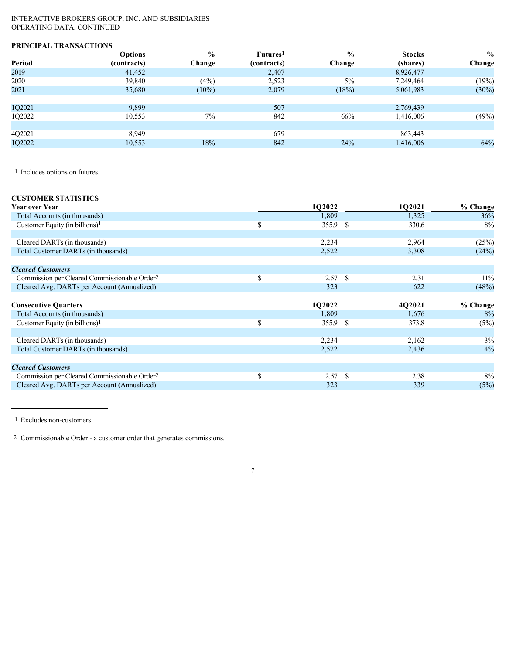## INTERACTIVE BROKERS GROUP, INC. AND SUBSIDIARIES OPERATING DATA, CONTINUED

## **PRINCIPAL TRANSACTIONS**

|        | Options     | $\frac{0}{0}$ | Futures <sup>1</sup> | $\frac{0}{0}$ | <b>Stocks</b> | $\frac{0}{0}$ |
|--------|-------------|---------------|----------------------|---------------|---------------|---------------|
| Period | (contracts) | Change        | (contracts)          | Change        | (shares)      | Change        |
| 2019   | 41,452      |               | 2,407                |               | 8,926,477     |               |
| 2020   | 39,840      | (4%)          | 2,523                | 5%            | 7,249,464     | (19%)         |
| 2021   | 35,680      | $(10\%)$      | 2,079                | (18%)         | 5,061,983     | (30%)         |
|        |             |               |                      |               |               |               |
| 1Q2021 | 9,899       |               | 507                  |               | 2,769,439     |               |
| 1Q2022 | 10,553      | 7%            | 842                  | 66%           | 1,416,006     | (49%)         |
|        |             |               |                      |               |               |               |
| 4Q2021 | 8,949       |               | 679                  |               | 863,443       |               |
| 1Q2022 | 10,553      | 18%           | 842                  | 24%           | 1,416,006     | 64%           |
|        |             |               |                      |               |               |               |

1 Includes options on futures.

## **CUSTOMER STATISTICS**

| <b>Year over Year</b>                                                                                   | 102022            |     | 102021      | % Change   |
|---------------------------------------------------------------------------------------------------------|-------------------|-----|-------------|------------|
| Total Accounts (in thousands)                                                                           | 1,809             |     | 1,325       | 36%        |
| Customer Equity (in billions) <sup>1</sup>                                                              | \$<br>355.9       | -S  | 330.6       | 8%         |
|                                                                                                         |                   |     |             |            |
| Cleared DARTs (in thousands)                                                                            | 2,234             |     | 2,964       | (25%)      |
| Total Customer DARTs (in thousands)                                                                     | 2,522             |     | 3,308       | (24%)      |
|                                                                                                         |                   |     |             |            |
| <b>Cleared Customers</b>                                                                                |                   |     |             |            |
| Commission per Cleared Commissionable Order <sup>2</sup>                                                | \$<br>2.57        | -\$ | 2.31        | 11%        |
| Cleared Avg. DARTs per Account (Annualized)                                                             | 323               |     | 622         | (48%)      |
| <b>Consecutive Quarters</b>                                                                             | 1Q2022            |     | 4Q2021      | % Change   |
| Total Accounts (in thousands)                                                                           | 1,809             |     | 1,676       | 8%         |
| Customer Equity (in billions) <sup>1</sup>                                                              | \$<br>355.9       | -\$ | 373.8       | (5%)       |
|                                                                                                         |                   |     |             |            |
|                                                                                                         |                   |     |             |            |
| Cleared DARTs (in thousands)                                                                            | 2,234             |     | 2,162       | 3%         |
| Total Customer DARTs (in thousands)                                                                     | 2,522             |     | 2,436       | 4%         |
|                                                                                                         |                   |     |             |            |
| <b>Cleared Customers</b>                                                                                |                   |     |             |            |
| Commission per Cleared Commissionable Order <sup>2</sup><br>Cleared Avg. DARTs per Account (Annualized) | \$<br>2.57<br>323 | -S  | 2.38<br>339 | 8%<br>(5%) |

1 Excludes non-customers.

2 Commissionable Order - a customer order that generates commissions.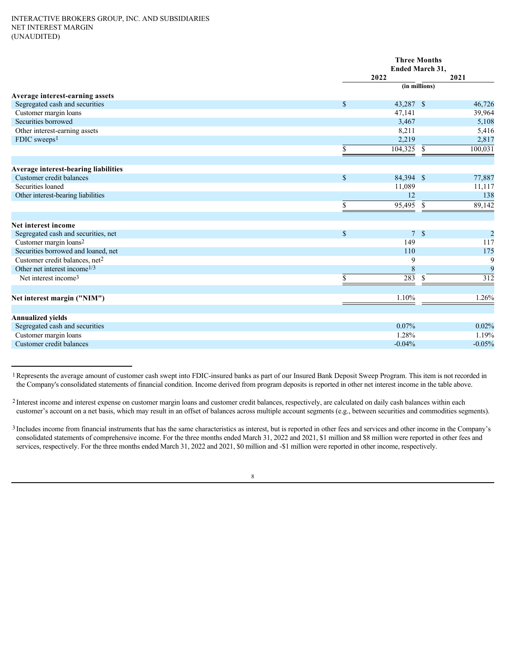## INTERACTIVE BROKERS GROUP, INC. AND SUBSIDIARIES NET INTEREST MARGIN (UNAUDITED)

|                                             |               | <b>Three Months</b>    |                         |                  |
|---------------------------------------------|---------------|------------------------|-------------------------|------------------|
|                                             |               | <b>Ended March 31,</b> |                         |                  |
|                                             |               | 2022                   | 2021                    |                  |
|                                             |               |                        | (in millions)           |                  |
| <b>Average interest-earning assets</b>      |               |                        |                         |                  |
| Segregated cash and securities              | \$            | 43,287 \$              |                         | 46,726           |
| Customer margin loans                       |               | 47,141                 |                         | 39,964           |
| Securities borrowed                         |               | 3,467                  |                         | 5,108            |
| Other interest-earning assets               |               | 8,211                  |                         | 5,416            |
| FDIC sweeps <sup>1</sup>                    |               | 2,219                  |                         | 2,817            |
|                                             | \$            | 104,325                | $\mathbb{S}$<br>100,031 |                  |
|                                             |               |                        |                         |                  |
| <b>Average interest-bearing liabilities</b> |               |                        |                         |                  |
| Customer credit balances                    | $\mathsf{\$}$ | 84,394 \$              |                         | 77,887           |
| Securities loaned                           |               | 11,089                 |                         | 11,117           |
| Other interest-bearing liabilities          |               | 12                     |                         | 138              |
|                                             | \$            | 95,495                 | \$                      | 89,142           |
|                                             |               |                        |                         |                  |
| Net interest income                         |               |                        |                         |                  |
| Segregated cash and securities, net         | \$            | 7 <sup>7</sup>         | $\mathcal{S}$           | $\overline{c}$   |
| Customer margin loans <sup>2</sup>          |               | 149                    |                         | 117              |
| Securities borrowed and loaned, net         |               | 110                    |                         | 175              |
| Customer credit balances, net <sup>2</sup>  |               | 9                      |                         | 9                |
| Other net interest income <sup>1/3</sup>    |               | 8                      |                         | 9                |
| Net interest income <sup>3</sup>            | \$            | 283                    | <sup>\$</sup>           | $\overline{312}$ |
|                                             |               |                        |                         |                  |
| Net interest margin ("NIM")                 |               | 1.10%                  |                         | 1.26%            |
|                                             |               |                        |                         |                  |
| <b>Annualized yields</b>                    |               |                        |                         |                  |
| Segregated cash and securities              |               | 0.07%                  |                         | 0.02%            |
| Customer margin loans                       |               | 1.28%                  |                         | 1.19%            |
| Customer credit balances                    |               | $-0.04%$               | $-0.05%$                |                  |

<sup>1</sup> Represents the average amount of customer cash swept into FDIC-insured banks as part of our Insured Bank Deposit Sweep Program. This item is not recorded in the Company's consolidated statements of financial condition. Income derived from program deposits is reported in other net interest income in the table above.

2 Interest income and interest expense on customer margin loans and customer credit balances, respectively, are calculated on daily cash balances within each customer's account on a net basis, which may result in an offset of balances across multiple account segments (e.g., between securities and commodities segments).

3 Includes income from financial instruments that has the same characteristics as interest, but is reported in other fees and services and other income in the Company's consolidated statements of comprehensive income. For the three months ended March 31, 2022 and 2021, \$1 million and \$8 million were reported in other fees and services, respectively. For the three months ended March 31, 2022 and 2021, \$0 million and -\$1 million were reported in other income, respectively.

<sup>8</sup>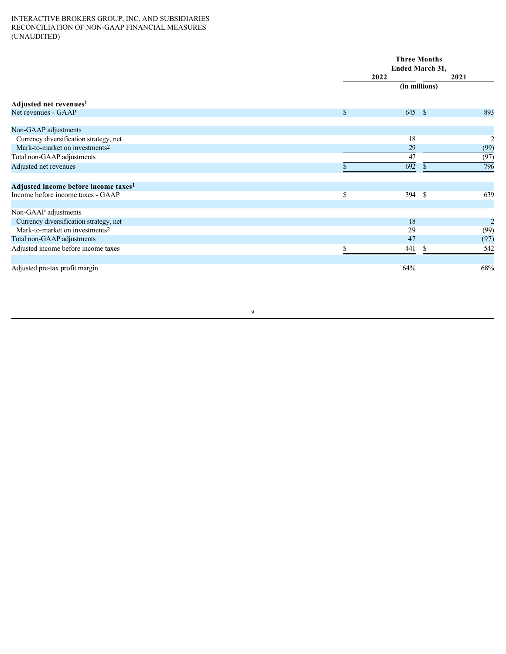## INTERACTIVE BROKERS GROUP, INC. AND SUBSIDIARIES RECONCILIATION OF NON-GAAP FINANCIAL MEASURES (UNAUDITED)

|                                                  |              | <b>Three Months</b><br>Ended March 31, |                   |  |
|--------------------------------------------------|--------------|----------------------------------------|-------------------|--|
|                                                  | 2022         |                                        | 2021              |  |
|                                                  |              | (in millions)                          |                   |  |
| Adjusted net revenues <sup>1</sup>               |              |                                        |                   |  |
| Net revenues - GAAP                              | $\mathbb{S}$ | 645 \$                                 | 893               |  |
| Non-GAAP adjustments                             |              |                                        |                   |  |
| Currency diversification strategy, net           |              | 18                                     |                   |  |
| Mark-to-market on investments <sup>2</sup>       |              | 29                                     | (99)              |  |
| Total non-GAAP adjustments                       |              | 47                                     | $\overline{(97)}$ |  |
| Adjusted net revenues                            |              | $\overline{692}$<br>-S                 | 796               |  |
| Adjusted income before income taxes <sup>1</sup> |              |                                        |                   |  |
| Income before income taxes - GAAP                | \$           | 394 \$                                 | 639               |  |
| Non-GAAP adjustments                             |              |                                        |                   |  |
| Currency diversification strategy, net           |              | 18                                     | $\overline{c}$    |  |
| Mark-to-market on investments <sup>2</sup>       |              | 29                                     | (99)              |  |
| Total non-GAAP adjustments                       |              | 47                                     | (97)              |  |
| Adjusted income before income taxes              |              | 441<br>\$.                             | 542               |  |
| Adjusted pre-tax profit margin                   |              | 64%                                    | 68%               |  |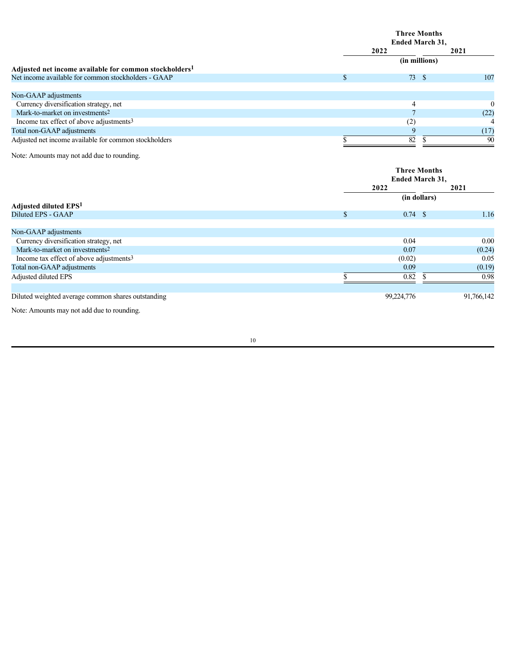|                                                                    | <b>Three Months</b><br>Ended March 31, |      |  |
|--------------------------------------------------------------------|----------------------------------------|------|--|
|                                                                    | 2022                                   | 2021 |  |
|                                                                    | (in millions)                          |      |  |
| Adjusted net income available for common stockholders <sup>1</sup> |                                        |      |  |
| Net income available for common stockholders - GAAP                | 73 \$                                  | 107  |  |
|                                                                    |                                        |      |  |
| Non-GAAP adjustments                                               |                                        |      |  |
| Currency diversification strategy, net                             |                                        | 0    |  |
| Mark-to-market on investments <sup>2</sup>                         |                                        | (22) |  |
| Income tax effect of above adjustments <sup>3</sup>                | $\mathcal{L}_{\mathcal{A}}$            |      |  |
| Total non-GAAP adjustments                                         |                                        | (17) |  |
| Adjusted net income available for common stockholders              | 82                                     | 90   |  |

Note: Amounts may not add due to rounding.

|                                                     |            | <b>Three Months</b><br><b>Ended March 31,</b> |  |  |
|-----------------------------------------------------|------------|-----------------------------------------------|--|--|
|                                                     | 2022       | 2021                                          |  |  |
|                                                     |            | (in dollars)                                  |  |  |
| <b>Adjusted diluted EPS1</b>                        |            |                                               |  |  |
| Diluted EPS - GAAP                                  | \$         | 1.16<br>$0.74 \quad$ \$                       |  |  |
|                                                     |            |                                               |  |  |
| Non-GAAP adjustments                                |            |                                               |  |  |
| Currency diversification strategy, net              |            | $0.00\,$<br>0.04                              |  |  |
| Mark-to-market on investments <sup>2</sup>          |            | (0.24)<br>0.07                                |  |  |
| Income tax effect of above adjustments <sup>3</sup> |            | (0.02)<br>0.05                                |  |  |
| Total non-GAAP adjustments                          |            | 0.09<br>(0.19)                                |  |  |
| Adjusted diluted EPS                                |            | 0.82<br>0.98                                  |  |  |
|                                                     |            |                                               |  |  |
| Diluted weighted average common shares outstanding  | 99,224,776 | 91,766,142                                    |  |  |
| Note: Amounts may not add due to rounding.          |            |                                               |  |  |